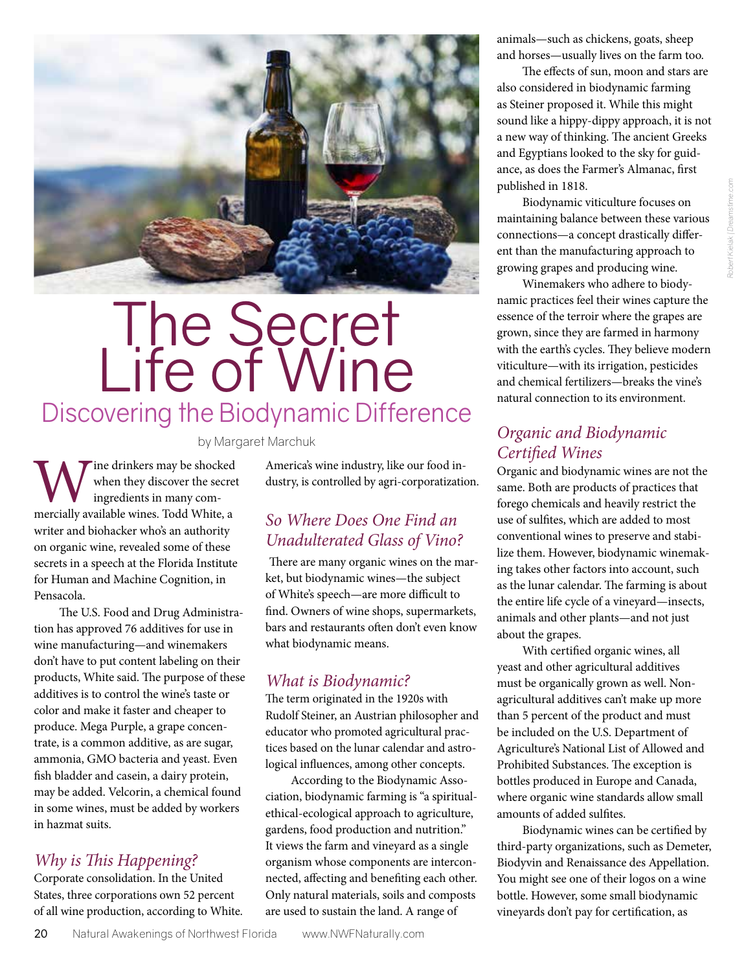

# The Secret Life of Wine Discovering the Biodynamic Difference

by Margaret Marchuk

Wine drinkers may be shocked when they discover the secret ingredients in many commercially available wines. Todd White, a when they discover the secret ingredients in many comwriter and biohacker who's an authority on organic wine, revealed some of these secrets in a speech at the Florida Institute for Human and Machine Cognition, in Pensacola.

The U.S. Food and Drug Administration has approved 76 additives for use in wine manufacturing—and winemakers don't have to put content labeling on their products, White said. The purpose of these additives is to control the wine's taste or color and make it faster and cheaper to produce. Mega Purple, a grape concentrate, is a common additive, as are sugar, ammonia, GMO bacteria and yeast. Even fish bladder and casein, a dairy protein, may be added. Velcorin, a chemical found in some wines, must be added by workers in hazmat suits.

#### *Why is This Happening?*

Corporate consolidation. In the United States, three corporations own 52 percent of all wine production, according to White.

America's wine industry, like our food industry, is controlled by agri-corporatization.

### *So Where Does One Find an Unadulterated Glass of Vino?*

There are many organic wines on the market, but biodynamic wines—the subject of White's speech—are more difficult to find. Owners of wine shops, supermarkets, bars and restaurants often don't even know what biodynamic means.

### *What is Biodynamic?*

The term originated in the 1920s with Rudolf Steiner, an Austrian philosopher and educator who promoted agricultural practices based on the lunar calendar and astrological influences, among other concepts.

According to the Biodynamic Association, biodynamic farming is "a spiritualethical-ecological approach to agriculture, gardens, food production and nutrition." It views the farm and vineyard as a single organism whose components are interconnected, affecting and benefiting each other. Only natural materials, soils and composts are used to sustain the land. A range of

animals—such as chickens, goats, sheep and horses—usually lives on the farm too.

The effects of sun, moon and stars are also considered in biodynamic farming as Steiner proposed it. While this might sound like a hippy-dippy approach, it is not a new way of thinking. The ancient Greeks and Egyptians looked to the sky for guidance, as does the Farmer's Almanac, first published in 1818.

Biodynamic viticulture focuses on maintaining balance between these various connections—a concept drastically different than the manufacturing approach to growing grapes and producing wine.

Winemakers who adhere to biodynamic practices feel their wines capture the essence of the terroir where the grapes are grown, since they are farmed in harmony with the earth's cycles. They believe modern viticulture—with its irrigation, pesticides and chemical fertilizers—breaks the vine's natural connection to its environment.

### *Organic and Biodynamic Certified Wines*

Organic and biodynamic wines are not the same. Both are products of practices that forego chemicals and heavily restrict the use of sulfites, which are added to most conventional wines to preserve and stabilize them. However, biodynamic winemaking takes other factors into account, such as the lunar calendar. The farming is about the entire life cycle of a vineyard—insects, animals and other plants—and not just about the grapes.

With certified organic wines, all yeast and other agricultural additives must be organically grown as well. Nonagricultural additives can't make up more than 5 percent of the product and must be included on the U.S. Department of Agriculture's National List of Allowed and Prohibited Substances. The exception is bottles produced in Europe and Canada, where organic wine standards allow small amounts of added sulfites.

Biodynamic wines can be certified by third-party organizations, such as Demeter, Biodyvin and Renaissance des Appellation. You might see one of their logos on a wine bottle. However, some small biodynamic vineyards don't pay for certification, as